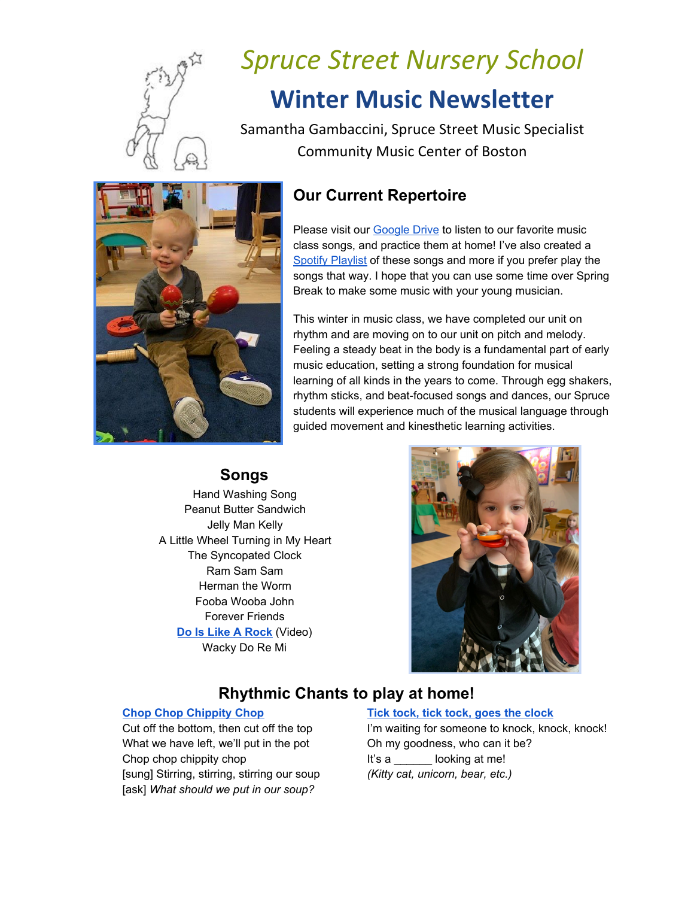

# *Spruce Street Nursery School* **Winter Music Newsletter**

Samantha Gambaccini, Spruce Street Music Specialist Community Music Center of Boston

# **Our Current Repertoire**

Please visit our [Google](https://drive.google.com/drive/folders/1SyvPIUQs_cOV3Tf0pdfXy2tY_FK_hMuu?usp=sharing) Drive to listen to our favorite music class songs, and practice them at home! I've also created a Spotify [Playlist](https://open.spotify.com/playlist/3lH5TVmtGti08SvPVIfjxr?si=ihkm34-EQ8i8l9FjpsRqfw) of these songs and more if you prefer play the songs that way. I hope that you can use some time over Spring Break to make some music with your young musician.

This winter in music class, we have completed our unit on rhythm and are moving on to our unit on pitch and melody. Feeling a steady beat in the body is a fundamental part of early music education, setting a strong foundation for musical learning of all kinds in the years to come. Through egg shakers, rhythm sticks, and beat-focused songs and dances, our Spruce students will experience much of the musical language through guided movement and kinesthetic learning activities.

### **Songs**

Hand Washing Song Peanut Butter Sandwich Jelly Man Kelly A Little Wheel Turning in My Heart The Syncopated Clock Ram Sam Sam Herman the Worm Fooba Wooba John Forever Friends **Do Is Like A [Rock](https://vimeo.com/72232894)** (Video) Wacky Do Re Mi



## **Rhythmic Chants to play at home!**

What we have left, we'll put in the pot Oh my goodness, who can it be? Chop chop chippity chop **It's a** looking at me! [sung] Stirring, stirring, stirring our soup *(Kitty cat, unicorn, bear, etc.)* [ask] *What should we put in our soup?*

#### **Chop Chop [Chippity](https://www.youtube.com/watch?v=brU-fnyM584) Chop Tick tock, tick tock, goes the [clock](https://www.youtube.com/watch?v=luq0w_GMHU0)**

Cut off the bottom, then cut off the top I'm waiting for someone to knock, knock, knock!